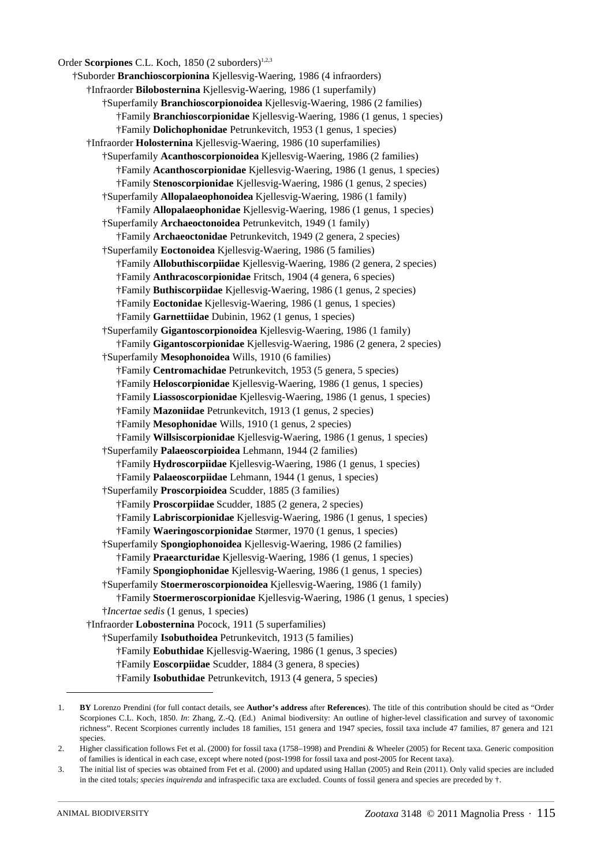Order **Scorpiones** C.L. Koch, 1850 (2 suborders)<sup>1,2,3</sup> †Suborder **Branchioscorpionina** Kjellesvig-Waering, 1986 (4 infraorders) †Infraorder **Bilobosternina** Kjellesvig-Waering, 1986 (1 superfamily) †Superfamily **Branchioscorpionoidea** Kjellesvig-Waering, 1986 (2 families) †Family **Branchioscorpionidae** Kjellesvig-Waering, 1986 (1 genus, 1 species) †Family **Dolichophonidae** Petrunkevitch, 1953 (1 genus, 1 species) †Infraorder **Holosternina** Kjellesvig-Waering, 1986 (10 superfamilies) †Superfamily **Acanthoscorpionoidea** Kjellesvig-Waering, 1986 (2 families) †Family **Acanthoscorpionidae** Kjellesvig-Waering, 1986 (1 genus, 1 species) †Family **Stenoscorpionidae** Kjellesvig-Waering, 1986 (1 genus, 2 species) †Superfamily **Allopalaeophonoidea** Kjellesvig-Waering, 1986 (1 family) †Family **Allopalaeophonidae** Kjellesvig-Waering, 1986 (1 genus, 1 species) †Superfamily **Archaeoctonoidea** Petrunkevitch, 1949 (1 family) †Family **Archaeoctonidae** Petrunkevitch, 1949 (2 genera, 2 species) †Superfamily **Eoctonoidea** Kjellesvig-Waering, 1986 (5 families) †Family **Allobuthiscorpiidae** Kjellesvig-Waering, 1986 (2 genera, 2 species) †Family **Anthracoscorpionidae** Fritsch, 1904 (4 genera, 6 species) †Family **Buthiscorpiidae** Kjellesvig-Waering, 1986 (1 genus, 2 species) †Family **Eoctonidae** Kjellesvig-Waering, 1986 (1 genus, 1 species) †Family **Garnettiidae** Dubinin, 1962 (1 genus, 1 species) †Superfamily **Gigantoscorpionoidea** Kjellesvig-Waering, 1986 (1 family) †Family **Gigantoscorpionidae** Kjellesvig-Waering, 1986 (2 genera, 2 species) †Superfamily **Mesophonoidea** Wills, 1910 (6 families) †Family **Centromachidae** Petrunkevitch, 1953 (5 genera, 5 species) †Family **Heloscorpionidae** Kjellesvig-Waering, 1986 (1 genus, 1 species) †Family **Liassoscorpionidae** Kjellesvig-Waering, 1986 (1 genus, 1 species) †Family **Mazoniidae** Petrunkevitch, 1913 (1 genus, 2 species) †Family **Mesophonidae** Wills, 1910 (1 genus, 2 species) †Family **Willsiscorpionidae** Kjellesvig-Waering, 1986 (1 genus, 1 species) †Superfamily **Palaeoscorpioidea** Lehmann, 1944 (2 families) †Family **Hydroscorpiidae** Kjellesvig-Waering, 1986 (1 genus, 1 species) †Family **Palaeoscorpiidae** Lehmann, 1944 (1 genus, 1 species) †Superfamily **Proscorpioidea** Scudder, 1885 (3 families) †Family **Proscorpiidae** Scudder, 1885 (2 genera, 2 species) †Family **Labriscorpionidae** Kjellesvig-Waering, 1986 (1 genus, 1 species) †Family **Waeringoscorpionidae** Størmer, 1970 (1 genus, 1 species) †Superfamily **Spongiophonoidea** Kjellesvig-Waering, 1986 (2 families) †Family **Praearcturidae** Kjellesvig-Waering, 1986 (1 genus, 1 species) †Family **Spongiophonidae** Kjellesvig-Waering, 1986 (1 genus, 1 species) †Superfamily **Stoermeroscorpionoidea** Kjellesvig-Waering, 1986 (1 family) †Family **Stoermeroscorpionidae** Kjellesvig-Waering, 1986 (1 genus, 1 species) †*Incertae sedis* (1 genus, 1 species) †Infraorder **Lobosternina** Pocock, 1911 (5 superfamilies) †Superfamily **Isobuthoidea** Petrunkevitch, 1913 (5 families) †Family **Eobuthidae** Kjellesvig-Waering, 1986 (1 genus, 3 species) †Family **Eoscorpiidae** Scudder, 1884 (3 genera, 8 species) †Family **Isobuthidae** Petrunkevitch, 1913 (4 genera, 5 species)

<sup>1.</sup> **BY** Lorenzo Prendini (for full contact details, see **Author's address** after **References**). The title of this contribution should be cited as "Order Scorpiones C.L. Koch, 1850. *In*: Zhang, Z.-Q. (Ed.) Animal biodiversity: An outline of higher-level classification and survey of taxonomic richness". Recent Scorpiones currently includes 18 families, 151 genera and 1947 species, fossil taxa include 47 families, 87 genera and 121 species.

<sup>2.</sup> Higher classification follows Fet et al. (2000) for fossil taxa (1758–1998) and Prendini & Wheeler (2005) for Recent taxa. Generic composition of families is identical in each case, except where noted (post-1998 for fossil taxa and post-2005 for Recent taxa).

<sup>3.</sup> The initial list of species was obtained from Fet et al. (2000) and updated using Hallan (2005) and Rein (2011). Only valid species are included in the cited totals; *species inquirenda* and infraspecific taxa are excluded. Counts of fossil genera and species are preceded by †.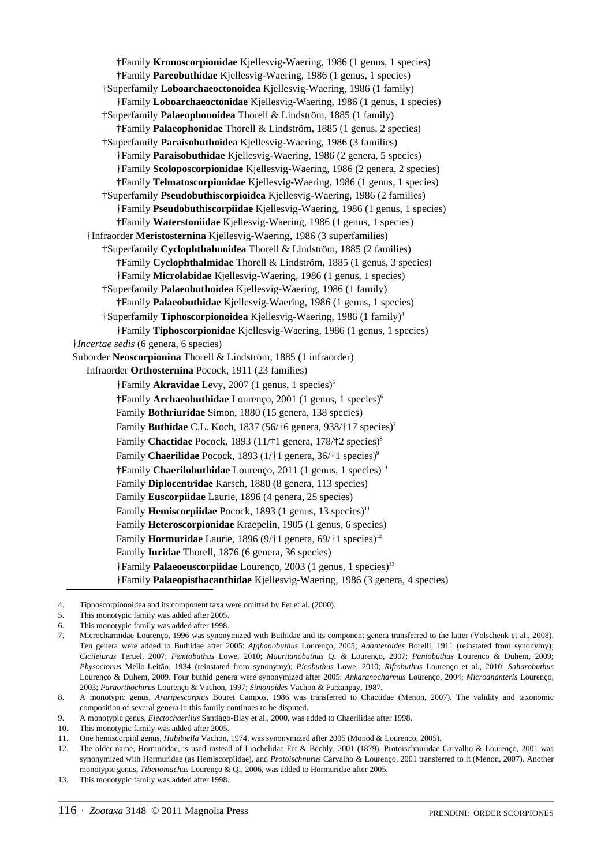†Family **Kronoscorpionidae** Kjellesvig-Waering, 1986 (1 genus, 1 species) †Family **Pareobuthidae** Kjellesvig-Waering, 1986 (1 genus, 1 species) †Superfamily **Loboarchaeoctonoidea** Kjellesvig-Waering, 1986 (1 family) †Family **Loboarchaeoctonidae** Kjellesvig-Waering, 1986 (1 genus, 1 species) †Superfamily **Palaeophonoidea** Thorell & Lindström, 1885 (1 family) †Family **Palaeophonidae** Thorell & Lindström, 1885 (1 genus, 2 species) †Superfamily **Paraisobuthoidea** Kjellesvig-Waering, 1986 (3 families) †Family **Paraisobuthidae** Kjellesvig-Waering, 1986 (2 genera, 5 species) †Family **Scoloposcorpionidae** Kjellesvig-Waering, 1986 (2 genera, 2 species) †Family **Telmatoscorpionidae** Kjellesvig-Waering, 1986 (1 genus, 1 species) †Superfamily **Pseudobuthiscorpioidea** Kjellesvig-Waering, 1986 (2 families) †Family **Pseudobuthiscorpiidae** Kjellesvig-Waering, 1986 (1 genus, 1 species) †Family **Waterstoniidae** Kjellesvig-Waering, 1986 (1 genus, 1 species) †Infraorder **Meristosternina** Kjellesvig-Waering, 1986 (3 superfamilies) †Superfamily **Cyclophthalmoidea** Thorell & Lindström, 1885 (2 families) †Family **Cyclophthalmidae** Thorell & Lindström, 1885 (1 genus, 3 species) †Family **Microlabidae** Kjellesvig-Waering, 1986 (1 genus, 1 species) †Superfamily **Palaeobuthoidea** Kjellesvig-Waering, 1986 (1 family) †Family **Palaeobuthidae** Kjellesvig-Waering, 1986 (1 genus, 1 species) †Superfamily **Tiphoscorpionoidea** Kjellesvig-Waering, 1986 (1 family)4 †Family **Tiphoscorpionidae** Kjellesvig-Waering, 1986 (1 genus, 1 species) †*Incertae sedis* (6 genera, 6 species) Suborder **Neoscorpionina** Thorell & Lindström, 1885 (1 infraorder) Infraorder **Orthosternina** Pocock, 1911 (23 families) †Family **Akravidae** Levy, 2007 (1 genus, 1 species)5 †Family **Archaeobuthidae** Lourenço, 2001 (1 genus, 1 species)6 Family **Bothriuridae** Simon, 1880 (15 genera, 138 species) Family **Buthidae** C.L. Koch, 1837 (56/†6 genera, 938/†17 species)7 Family **Chactidae** Pocock, 1893 (11/†1 genera, 178/†2 species)<sup>8</sup> Family **Chaerilidae** Pocock, 1893 (1/†1 genera, 36/†1 species)<sup>9</sup> †Family **Chaerilobuthidae** Lourenço, 2011 (1 genus, 1 species)10 Family **Diplocentridae** Karsch, 1880 (8 genera, 113 species) Family **Euscorpiidae** Laurie, 1896 (4 genera, 25 species) Family **Hemiscorpiidae** Pocock, 1893 (1 genus, 13 species)<sup>11</sup> Family **Heteroscorpionidae** Kraepelin, 1905 (1 genus, 6 species) Family **Hormuridae** Laurie, 1896 (9/†1 genera, 69/†1 species)<sup>12</sup> Family **Iuridae** Thorell, 1876 (6 genera, 36 species) †Family **Palaeoeuscorpiidae** Lourenço, 2003 (1 genus, 1 species)13 †Family **Palaeopisthacanthidae** Kjellesvig-Waering, 1986 (3 genera, 4 species)

13. This monotypic family was added after 1998.

<sup>4.</sup> Tiphoscorpionoidea and its component taxa were omitted by Fet et al. (2000).

<sup>5.</sup> This monotypic family was added after 2005.

<sup>6.</sup> This monotypic family was added after 1998.

<sup>7.</sup> Microcharmidae Lourenço, 1996 was synonymized with Buthidae and its component genera transferred to the latter (Volschenk et al., 2008). Ten genera were added to Buthidae after 2005: *Afghanobuthus* Lourenço, 2005; *Ananteroides* Borelli, 1911 (reinstated from synonymy); *Cicileiurus* Teruel, 2007; *Femtobuthus* Lowe, 2010; *Mauritanobuthus* Qi & Lourenço, 2007; *Pantobuthus* Lourenço & Duhem, 2009; *Physoctonus* Mello-Leitão, 1934 (reinstated from synonymy); *Picobuthus* Lowe, 2010; *Riftobuthus* Lourenço et al., 2010; *Saharobuthus* Lourenço & Duhem, 2009. Four buthid genera were synonymized after 2005: *Ankaranocharmus* Lourenço, 2004; *Microananteris* Lourenço, 2003; *Paraorthochirus* Lourenço & Vachon, 1997; *Simonoides* Vachon & Farzanpay, 1987.

<sup>8.</sup> A monotypic genus, *Araripescorpius* Bouret Campos, 1986 was transferred to Chactidae (Menon, 2007). The validity and taxonomic composition of several genera in this family continues to be disputed.

<sup>9.</sup> A monotypic genus, *Electochaerilus* Santiago-Blay et al., 2000, was added to Chaerilidae after 1998.

This monotypic family was added after 2005.

<sup>11.</sup> One hemiscorpiid genus, *Habibiella* Vachon, 1974, was synonymized after 2005 (Monod & Lourenço, 2005).

<sup>12.</sup> The older name, Hormuridae, is used instead of Liochelidae Fet & Bechly, 2001 (1879). Protoischnuridae Carvalho & Lourenço, 2001 was synonymized with Hormuridae (as Hemiscorpiidae), and *Protoischnurus* Carvalho & Lourenço, 2001 transferred to it (Menon, 2007). Another monotypic genus, *Tibetiomachus* Lourenço & Qi, 2006, was added to Hormuridae after 2005.